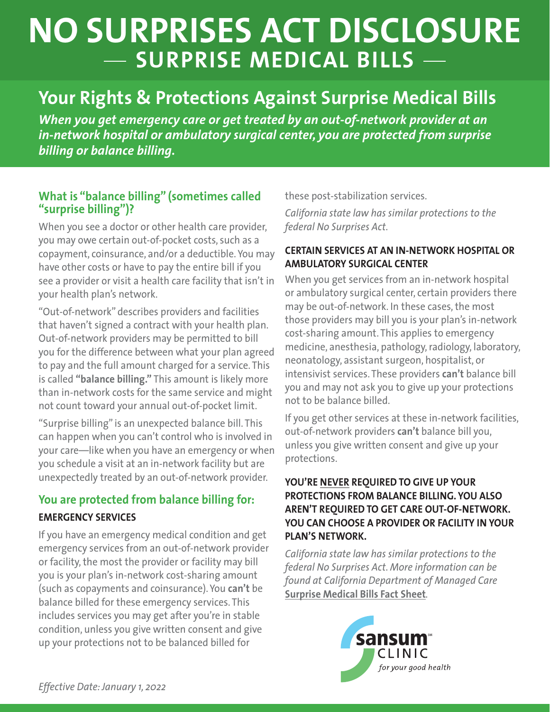# **NO SURPRISES ACT DISCLOSURE SURPRISE MEDICAL BILLS**

### **Your Rights & Protections Against Surprise Medical Bills**

*When you get emergency care or get treated by an out-of-network provider at an in-network hospital or ambulatory surgical center, you are protected from surprise billing or balance billing.*

#### **What is "balance billing" (sometimes called "surprise billing")?**

When you see a doctor or other health care provider, you may owe certain out-of-pocket costs, such as a copayment, coinsurance, and/or a deductible. You may have other costs or have to pay the entire bill if you see a provider or visit a health care facility that isn't in your health plan's network.

"Out-of-network" describes providers and facilities that haven't signed a contract with your health plan. Out-of-network providers may be permitted to bill you for the difference between what your plan agreed to pay and the full amount charged for a service. This is called **"balance billing."** This amount is likely more than in-network costs for the same service and might not count toward your annual out-of-pocket limit.

"Surprise billing" is an unexpected balance bill. This can happen when you can't control who is involved in your care—like when you have an emergency or when you schedule a visit at an in-network facility but are unexpectedly treated by an out-of-network provider.

### **You are protected from balance billing for: EMERGENCY SERVICES**

If you have an emergency medical condition and get emergency services from an out-of-network provider or facility, the most the provider or facility may bill you is your plan's in-network cost-sharing amount (such as copayments and coinsurance). You **can't** be balance billed for these emergency services. This includes services you may get after you're in stable condition, unless you give written consent and give up your protections not to be balanced billed for

these post-stabilization services.

*California state law has similar protections to the federal No Surprises Act.*

#### **CERTAIN SERVICES AT AN IN-NETWORK HOSPITAL OR AMBULATORY SURGICAL CENTER**

When you get services from an in-network hospital or ambulatory surgical center, certain providers there may be out-of-network. In these cases, the most those providers may bill you is your plan's in-network cost-sharing amount. This applies to emergency medicine, anesthesia, pathology, radiology, laboratory, neonatology, assistant surgeon, hospitalist, or intensivist services. These providers **can't** balance bill you and may not ask you to give up your protections not to be balance billed.

If you get other services at these in-network facilities, out-of-network providers **can't** balance bill you, unless you give written consent and give up your protections.

#### **YOU'RE NEVER REQUIRED TO GIVE UP YOUR PROTECTIONS FROM BALANCE BILLING. YOU ALSO AREN'T REQUIRED TO GET CARE OUT-OF-NETWORK. YOU CAN CHOOSE A PROVIDER OR FACILITY IN YOUR PLAN'S NETWORK.**

*California state law has similar protections to the federal No Surprises Act. More information can be found at California Department of Managed Care*  **Surprise Medical Bills Fact Sheet***.*